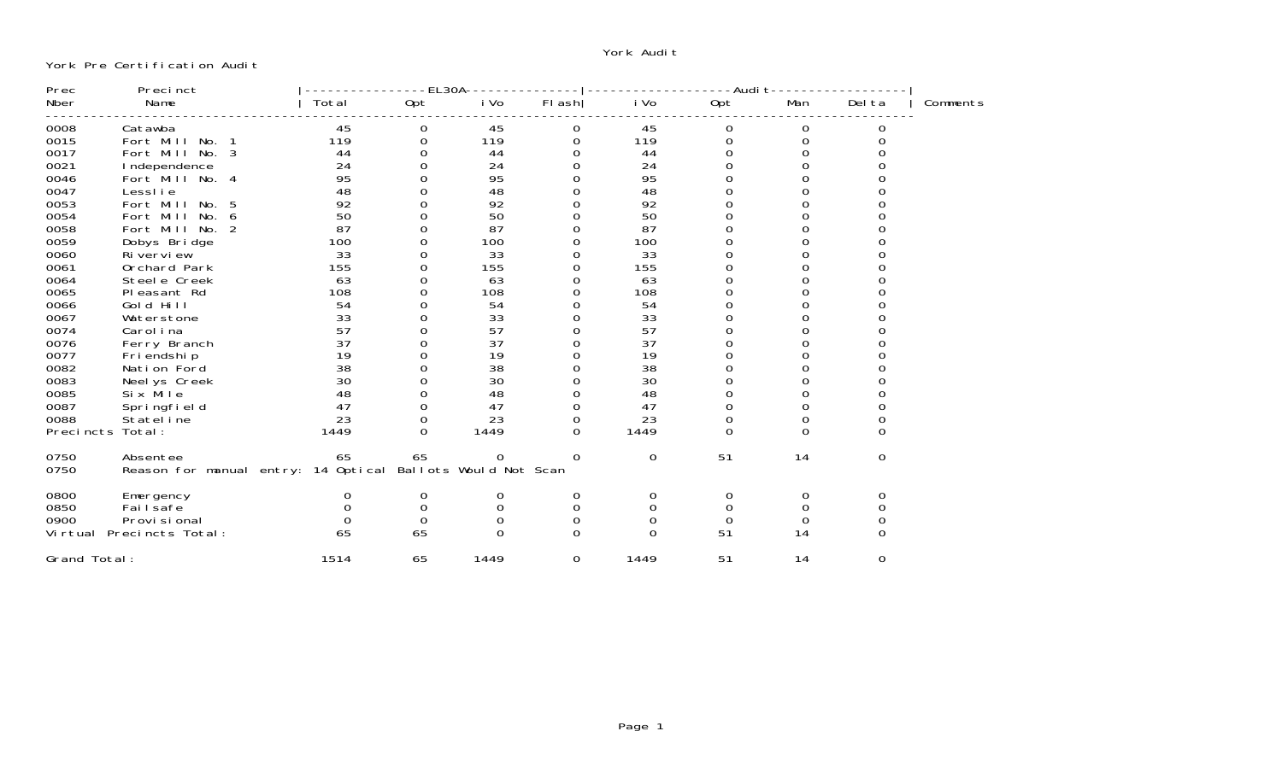## York Audi†

York Pre Certification Audi<sup>.</sup>

| Prec             | Precinct                            |       | EL30A    |                        |                  |          | -Audi t  |          |          |          |
|------------------|-------------------------------------|-------|----------|------------------------|------------------|----------|----------|----------|----------|----------|
| Nber             | Name                                | Total | Opt      | i Vo                   | $FI$ ash         | i Vo     | Opt      | Man      | Del ta   | Comments |
| 0008             | Catawba                             | 45    | 0        | 45                     | $\boldsymbol{0}$ | 45       | 0        | 0        |          |          |
| 0015             | Fort Mill<br>No.                    | 119   | 0        | 119                    | 0                | 119      | 0        | 0        |          |          |
| 0017             | Fort Mill<br>No. 3                  | 44    | 0        | 44                     | 0                | 44       | 0        |          |          |          |
| 0021             | I ndependence                       | 24    |          | 24                     | 0                | 24       |          |          |          |          |
| 0046             | Fort Mill No. 4                     | 95    |          | 95                     | 0                | 95       |          |          |          |          |
| 0047             | LessI i e                           | 48    |          | 48                     | 0                | 48       |          |          |          |          |
| 0053             | Fort Mill<br>-5<br>No.              | 92    |          | 92                     | 0                | 92       |          |          |          |          |
| 0054             | Fort Mill<br>No.<br>-6              | 50    | 0        | 50                     | 0                | 50       | 0        |          |          |          |
| 0058             | Fort Mill No. 2                     | 87    | 0        | 87                     | 0                | 87       | 0        |          |          |          |
| 0059             | Dobys Bridge                        | 100   | 0        | 100                    | 0                | 100      |          |          |          |          |
| 0060             | Riverview                           | 33    | ი        | 33                     | 0                | 33       |          |          |          |          |
| 0061             | Orchard Park                        | 155   | 0        | 155                    | 0                | 155      |          |          |          |          |
| 0064             | Steel e Creek                       | 63    | ი        | 63                     | 0                | 63       |          |          |          |          |
| 0065             | Pleasant Rd                         | 108   | 0        | 108                    | 0                | 108      |          |          |          |          |
| 0066             | Gold Hill                           | 54    | 0        | 54                     | 0                | 54       |          |          |          |          |
| 0067             | Waterstone                          | 33    |          | 33                     |                  | 33       |          |          |          |          |
| 0074             | Carol i na                          | 57    |          | 57                     |                  | 57       |          |          |          |          |
| 0076             | Ferry Branch                        | 37    |          | 37                     |                  | 37       |          |          |          |          |
| 0077             | Fri endshi p                        | 19    |          | 19                     |                  | 19       |          |          |          |          |
| 0082             | Nation Ford                         | 38    |          | 38                     |                  | 38       |          |          |          |          |
| 0083             | Neel ys Creek                       | 30    |          | 30                     | 0                | 30       |          |          |          |          |
| 0085             | Six Mile                            | 48    | 0        | 48                     | 0                | 48       | 0        |          |          |          |
| 0087             | Springfield                         | 47    | 0        | 47                     | 0                | 47       | 0        |          |          |          |
| 0088             | Stateline                           | 23    | 0        | 23                     | 0                | 23       | 0        |          |          |          |
| Precincts Total: |                                     | 1449  | $\Omega$ | 1449                   | $\Omega$         | 1449     | $\Omega$ | $\Omega$ | O        |          |
| 0750             | Absentee                            | 65    | 65       | 0                      | $\Omega$         | 0        | 51       | 14       | 0        |          |
| 0750             | Reason for manual entry: 14 Optical |       |          | Ballots Would Not Scan |                  |          |          |          |          |          |
| 0800             | Emergency                           | O     | 0        | 0                      | 0                | 0        | 0        | 0        | 0        |          |
| 0850             | Fai I safe                          |       | 0        | 0                      | 0                | 0        | 0        |          |          |          |
| 0900             | Provi si onal                       |       | $\Omega$ | $\Omega$               | 0                | 0        | $\Omega$ | $\Omega$ |          |          |
|                  | Virtual Precincts Total:            | 65    | 65       | $\Omega$               | $\Omega$         | $\Omega$ | 51       | 14       |          |          |
| Grand Total:     |                                     | 1514  | 65       | 1449                   | $\Omega$         | 1449     | 51       | 14       | $\Omega$ |          |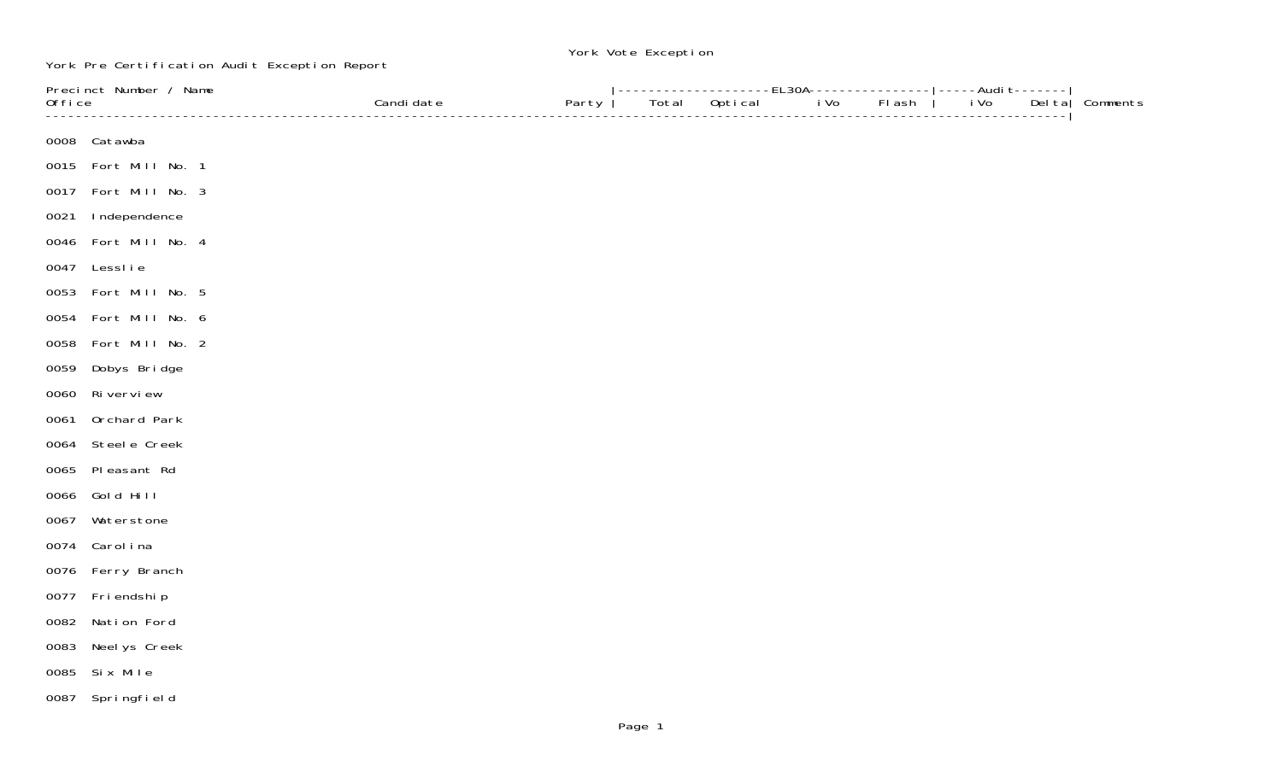## York Vote Exception

York Pre Certification Audit Exception Report

| Precinct Number / Name |                      |            |       | ----------------EL30A---------------- -----Audi                               t------- |         |      |        |      |        |          |
|------------------------|----------------------|------------|-------|----------------------------------------------------------------------------------------|---------|------|--------|------|--------|----------|
| Office                 |                      | Candi date | Party | Total                                                                                  | Optical | i Vo | FI ash | i Vo | Del ta | Comments |
|                        |                      |            |       |                                                                                        |         |      |        |      |        |          |
|                        | 0008 Catawba         |            |       |                                                                                        |         |      |        |      |        |          |
|                        | 0015 Fort Mill No. 1 |            |       |                                                                                        |         |      |        |      |        |          |
| 0017                   | Fort Mill No. 3      |            |       |                                                                                        |         |      |        |      |        |          |
| 0021                   | Independence         |            |       |                                                                                        |         |      |        |      |        |          |
| 0046                   | Fort Mill No. 4      |            |       |                                                                                        |         |      |        |      |        |          |
|                        | 0047 Lesslie         |            |       |                                                                                        |         |      |        |      |        |          |
| 0053                   | Fort Mill No. 5      |            |       |                                                                                        |         |      |        |      |        |          |
| 0054                   | Fort Mill No. 6      |            |       |                                                                                        |         |      |        |      |        |          |
| 0058                   | Fort Mill No. 2      |            |       |                                                                                        |         |      |        |      |        |          |
| 0059                   | Dobys Bridge         |            |       |                                                                                        |         |      |        |      |        |          |
| 0060                   | Ri vervi ew          |            |       |                                                                                        |         |      |        |      |        |          |
| 0061                   | Orchard Park         |            |       |                                                                                        |         |      |        |      |        |          |
| 0064                   | Steel e Creek        |            |       |                                                                                        |         |      |        |      |        |          |
| 0065                   | Pleasant Rd          |            |       |                                                                                        |         |      |        |      |        |          |
| 0066                   | Gold Hill            |            |       |                                                                                        |         |      |        |      |        |          |
| 0067                   | Waterstone           |            |       |                                                                                        |         |      |        |      |        |          |
|                        | 0074 Carolina        |            |       |                                                                                        |         |      |        |      |        |          |
|                        | 0076 Ferry Branch    |            |       |                                                                                        |         |      |        |      |        |          |
|                        | 0077 Friendship      |            |       |                                                                                        |         |      |        |      |        |          |
| 0082                   | Nation Ford          |            |       |                                                                                        |         |      |        |      |        |          |
| 0083                   | Neel ys Creek        |            |       |                                                                                        |         |      |        |      |        |          |
| 0085                   | Six Mile             |            |       |                                                                                        |         |      |        |      |        |          |
|                        | 0087 Springfield     |            |       |                                                                                        |         |      |        |      |        |          |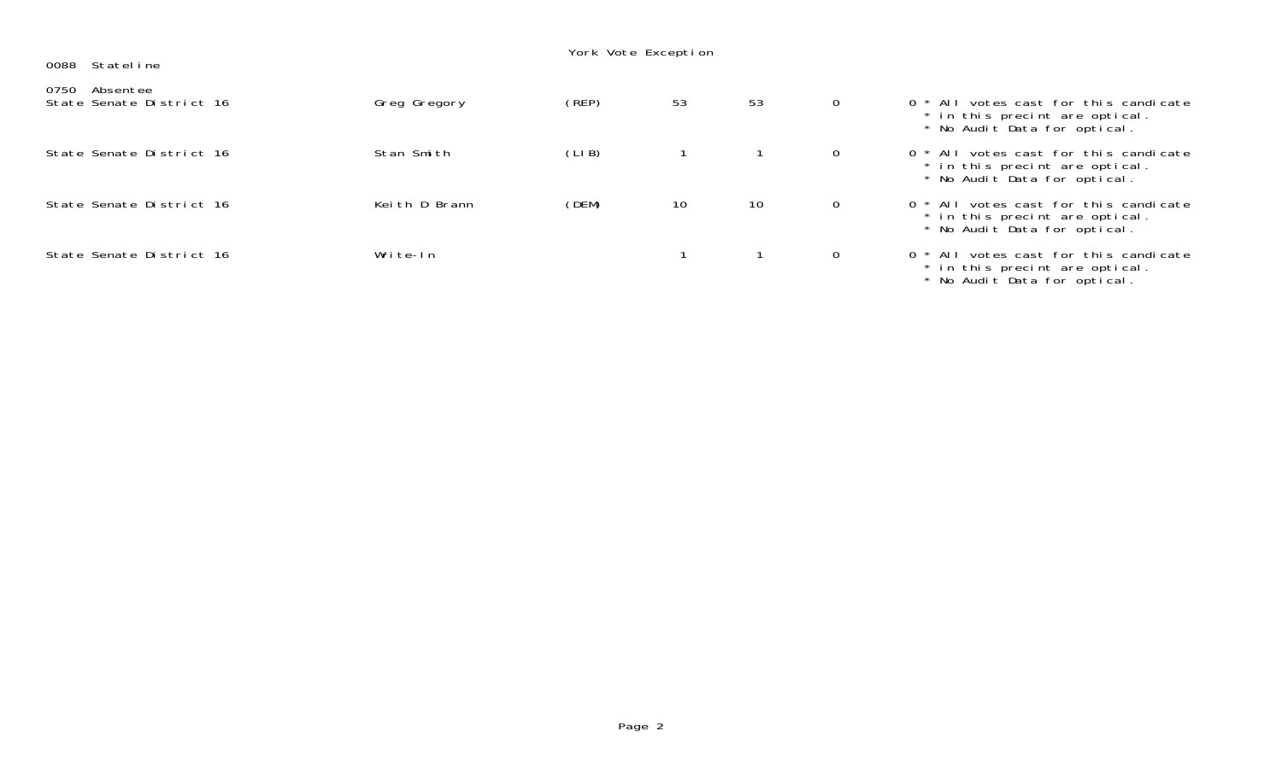| Stateline<br>0088                            |               | York Vote Exception |    |    |                |                                                                                                           |
|----------------------------------------------|---------------|---------------------|----|----|----------------|-----------------------------------------------------------------------------------------------------------|
| 0750<br>Absentee<br>State Senate District 16 | Greg Gregory  | (REP)               | 53 | 53 | $\overline{0}$ | 0 * All votes cast for this candicate<br>* in this precint are optical.<br>* No Audit Data for optical.   |
| State Senate District 16                     | Stan Smith    | (LIB)               |    |    | $\mathbf{0}$   | 0 * All votes cast for this candicate<br>* in this precint are optical.<br>* No Audit Data for optical.   |
| State Senate District 16                     | Keith D Brann | (DEM)               | 10 | 10 | $\mathbf{0}$   | 0 * All votes cast for this candicate<br>* in this precint are optical.<br>* No Audit Data for optical.   |
| State Senate District 16                     | Write-In      |                     |    |    | $\Omega$       | $0 * All$ votes cast for this candicate<br>* in this precint are optical.<br>* No Audit Data for optical. |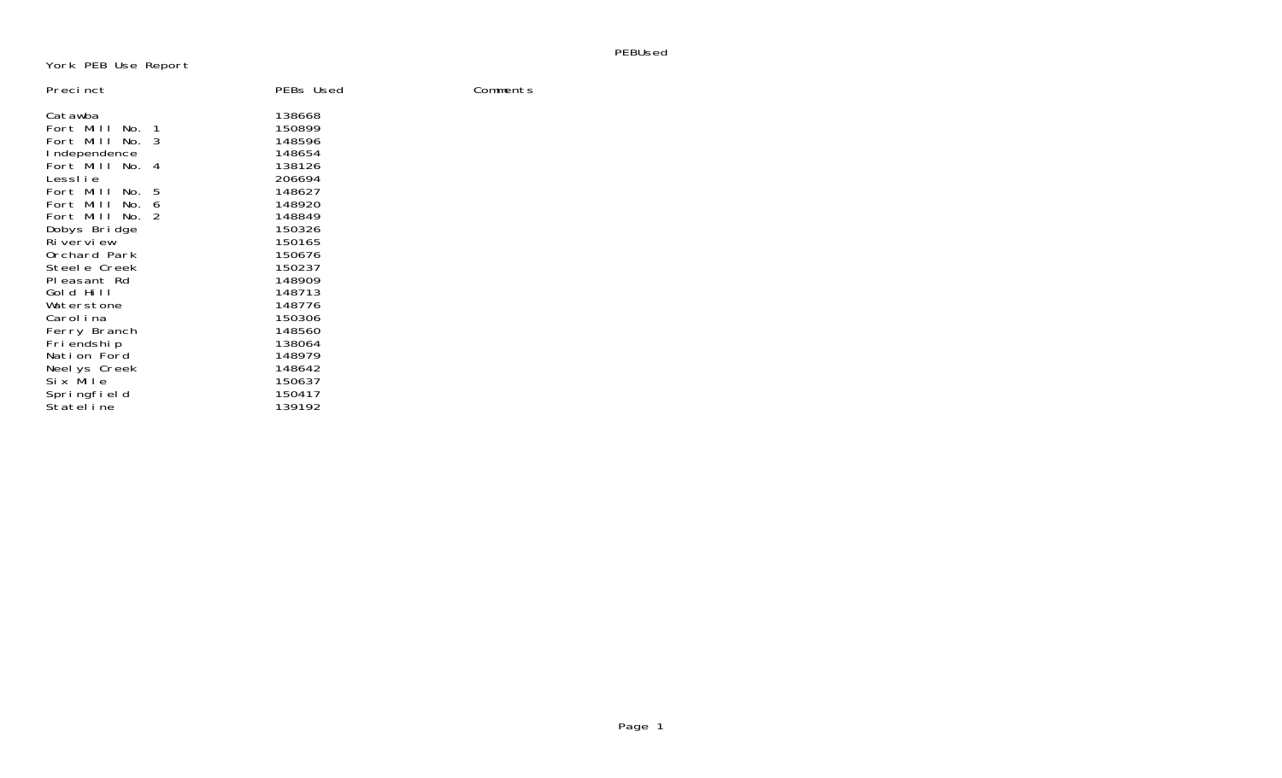PEBUsed

York PEB Use Report

| Precinct         |     | PEBs Used | Comments |
|------------------|-----|-----------|----------|
| Catawba          |     | 138668    |          |
| Fort Mill<br>No. | - 1 | 150899    |          |
| Fort Mill<br>No. | 3   | 148596    |          |
| I ndependence    |     | 148654    |          |
| Fort Mill No. 4  |     | 138126    |          |
| LessI i e        |     | 206694    |          |
| Fort Mill<br>No. | 5   | 148627    |          |
| Fort Mill<br>No. | 6   | 148920    |          |
| Fort Mill<br>No. | 2   | 148849    |          |
| Dobys Bridge     |     | 150326    |          |
| Riverview        |     | 150165    |          |
| Orchard Park     |     | 150676    |          |
| Steele Creek     |     | 150237    |          |
| PI easant Rd     |     | 148909    |          |
| Gold Hill        |     | 148713    |          |
| Waterstone       |     | 148776    |          |
| Carol i na       |     | 150306    |          |
| Ferry Branch     |     | 148560    |          |
| Friendship       |     | 138064    |          |
| Nation Ford      |     | 148979    |          |
| Neel ys Creek    |     | 148642    |          |
| Six Mile         |     | 150637    |          |
| Springfield      |     | 150417    |          |
| Statel i ne      |     | 139192    |          |